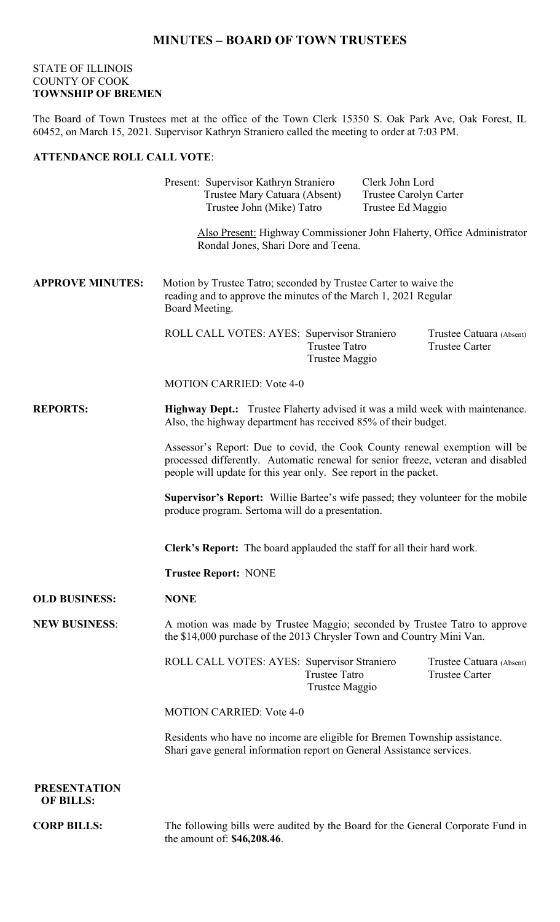## **MINUTES – BOARD OF TOWN TRUSTEES**

## STATE OF ILLINOIS COUNTY OF COOK **TOWNSHIP OF BREMEN**

The Board of Town Trustees met at the office of the Town Clerk 15350 S. Oak Park Ave, Oak Forest, IL 60452, on March 15, 2021. Supervisor Kathryn Straniero called the meeting to order at 7:03 PM.

## **ATTENDANCE ROLL CALL VOTE**:

Present: Supervisor Kathryn Straniero Clerk John Lord Trustee Mary Catuara (Absent) Trustee Carolyn Carter Trustee John (Mike) Tatro Trustee Ed Maggio Also Present: Highway Commissioner John Flaherty, Office Administrator Rondal Jones, Shari Dore and Teena. **APPROVE MINUTES:** Motion by Trustee Tatro; seconded by Trustee Carter to waive the reading and to approve the minutes of the March 1, 2021 Regular Board Meeting. ROLL CALL VOTES: AYES: Supervisor Straniero Trustee Catuara (Absent) Trustee Tatro Trustee Carter Trustee Maggio MOTION CARRIED: Vote 4-0 **REPORTS: Highway Dept.:** Trustee Flaherty advised it was a mild week with maintenance. Also, the highway department has received 85% of their budget. Assessor's Report: Due to covid, the Cook County renewal exemption will be processed differently. Automatic renewal for senior freeze, veteran and disabled people will update for this year only. See report in the packet. **Supervisor's Report:** Willie Bartee's wife passed; they volunteer for the mobile produce program. Sertoma will do a presentation. **Clerk's Report:** The board applauded the staff for all their hard work. **Trustee Report:** NONE **OLD BUSINESS: NONE NEW BUSINESS**: A motion was made by Trustee Maggio; seconded by Trustee Tatro to approve the \$14,000 purchase of the 2013 Chrysler Town and Country Mini Van. ROLL CALL VOTES: AYES: Supervisor Straniero Trustee Catuara (Absent) Trustee Tatro Trustee Carter Trustee Maggio MOTION CARRIED: Vote 4-0 Residents who have no income are eligible for Bremen Township assistance. Shari gave general information report on General Assistance services.  **PRESENTATION OF BILLS: CORP BILLS:** The following bills were audited by the Board for the General Corporate Fund in

the amount of: **\$46,208.46**.